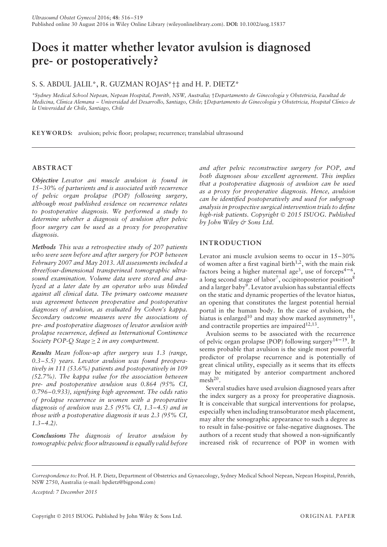# **Does it matter whether levator avulsion is diagnosed pre- or postoperatively?**

## S. S. ABDUL JALIL\*, R. GUZMAN ROJAS\*†‡ and H. P. DIETZ\*

*\*Sydney Medical School Nepean, Nepean Hospital, Penrith, NSW, Australia;* †*Departamento de Ginecolog´ıa y Obstetricia, Facultad de Medicina, Cl´ınica Alemana – Universidad del Desarrollo, Santiago, Chile;* ‡*Departamento de Ginecolog´ıa y Obstetricia, Hospital Cl´ınico de la Universidad de Chile, Santiago, Chile*

**KEYWORD S:** avulsion; pelvic floor; prolapse; recurrence; translabial ultrasound

## **ABSTRACT**

*Objective Levator ani muscle avulsion is found in 15–30% of parturients and is associated with recurrence of pelvic organ prolapse (POP) following surgery, although most published evidence on recurrence relates to postoperative diagnosis. We performed a study to determine whether a diagnosis of avulsion after pelvic floor surgery can be used as a proxy for preoperative diagnosis.*

*Methods This was a retrospective study of 207 patients who were seen before and after surgery for POP between February 2007 and May 2013. All assessments included a three/four-dimensional transperineal tomographic ultrasound examination. Volume data were stored and analyzed at a later date by an operator who was blinded against all clinical data. The primary outcome measure was agreement between preoperative and postoperative diagnoses of avulsion, as evaluated by Cohen's kappa. Secondary outcome measures were the associations of pre- and postoperative diagnoses of levator avulsion with prolapse recurrence, defined as International Continence Society POP-Q Stage* ≥ *2 in any compartment.*

*Results Mean follow-up after surgery was 1.3 (range, 0.3–5.5) years. Levator avulsion was found preoperatively in 111 (53.6%) patients and postoperatively in 109 (52.7%). The kappa value for the association between pre- and postoperative avulsion was 0.864 (95% CI, 0.796–0.933), signifying high agreement. The odds ratio of prolapse recurrence in women with a preoperative diagnosis of avulsion was 2.5 (95% CI, 1.3–4.5) and in those with a postoperative diagnosis it was 2.3 (95% CI, 1.3–4.2).*

*Conclusions The diagnosis of levator avulsion by tomographic pelvic floor ultrasound is equally valid before* *and after pelvic reconstructive surgery for POP, and both diagnoses show excellent agreement. This implies that a postoperative diagnosis of avulsion can be used as a proxy for preoperative diagnosis. Hence, avulsion can be identified postoperatively and used for subgroup analysis in prospective surgical intervention trials to define high-risk patients. Copyright* © *2015 ISUOG. Published by John Wiley & Sons Ltd.*

## **INTRODUCTION**

Levator ani muscle avulsion seems to occur in 15–30% of women after a first vaginal birth<sup>1,2</sup>, with the main risk factors being a higher maternal age<sup>3</sup>, use of forceps<sup>4-6</sup>, a long second stage of labor<sup>7</sup>, occipitoposterior position<sup>8</sup> and a larger baby<sup>9</sup>. Levator avulsion has substantial effects on the static and dynamic properties of the levator hiatus, an opening that constitutes the largest potential hernial portal in the human body. In the case of avulsion, the hiatus is enlarged<sup>10</sup> and may show marked asymmetry<sup>11</sup>, and contractile properties are impaired $12,13$ .

Avulsion seems to be associated with the recurrence of pelvic organ prolapse (POP) following surgery<sup>14–19</sup>. It seems probable that avulsion is the single most powerful predictor of prolapse recurrence and is potentially of great clinical utility, especially as it seems that its effects may be mitigated by anterior compartment anchored  $mesh<sup>20</sup>$ .

Several studies have used avulsion diagnosed years after the index surgery as a proxy for preoperative diagnosis. It is conceivable that surgical interventions for prolapse, especially when including transobturator mesh placement, may alter the sonographic appearance to such a degree as to result in false-positive or false-negative diagnoses. The authors of a recent study that showed a non-significantly increased risk of recurrence of POP in women with

*Accepted: 7 December 2015*

*Correspondence to:* Prof. H. P. Dietz, Department of Obstetrics and Gynaecology, Sydney Medical School Nepean, Nepean Hospital, Penrith, NSW 2750, Australia (e-mail: hpdietz@bigpond.com)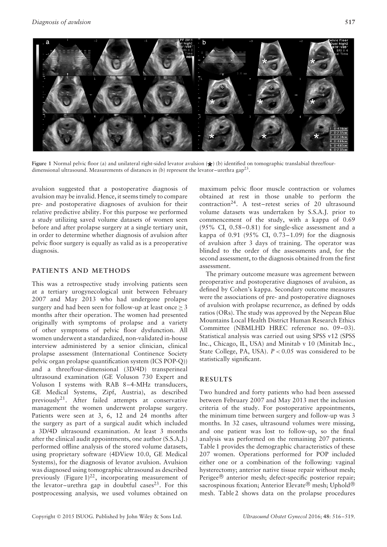

**Figure 1** Normal pelvic floor (a) and unilateral right-sided levator avulsion ( $\star$ ) (b) identified on tomographic translabial three/fourdimensional ultrasound. Measurements of distances in (b) represent the levator–urethra gap<sup>23</sup>.

avulsion suggested that a postoperative diagnosis of avulsion may be invalid. Hence, it seems timely to compare pre- and postoperative diagnoses of avulsion for their relative predictive ability. For this purpose we performed a study utilizing saved volume datasets of women seen before and after prolapse surgery at a single tertiary unit, in order to determine whether diagnosis of avulsion after pelvic floor surgery is equally as valid as is a preoperative diagnosis.

### **PATIENTS AND METHODS**

This was a retrospective study involving patients seen at a tertiary urogynecological unit between February 2007 and May 2013 who had undergone prolapse surgery and had been seen for follow-up at least once  $\geq 3$ months after their operation. The women had presented originally with symptoms of prolapse and a variety of other symptoms of pelvic floor dysfunction. All women underwent a standardized, non-validated in-house interview administered by a senior clinician, clinical prolapse assessment (International Continence Society pelvic organ prolapse quantification system (ICS POP-Q)) and a three/four-dimensional (3D/4D) transperineal ultrasound examination (GE Voluson 730 Expert and Voluson I systems with RAB 8–4-MHz transducers, GE Medical Systems, Zipf, Austria), as described previously<sup>21</sup>. After failed attempts at conservative management the women underwent prolapse surgery. Patients were seen at 3, 6, 12 and 24 months after the surgery as part of a surgical audit which included a 3D/4D ultrasound examination. At least 3 months after the clinical audit appointments, one author (S.S.A.J.) performed offline analysis of the stored volume datasets, using proprietary software (4DView 10.0, GE Medical Systems), for the diagnosis of levator avulsion. Avulsion was diagnosed using tomographic ultrasound as described previously (Figure  $1)^{22}$ , incorporating measurement of the levator–urethra gap in doubtful cases<sup>23</sup>. For this postprocessing analysis, we used volumes obtained on maximum pelvic floor muscle contraction or volumes obtained at rest in those unable to perform the contraction24. A test–retest series of 20 ultrasound volume datasets was undertaken by S.S.A.J. prior to commencement of the study, with a kappa of 0.69 (95% CI, 0.58–0.81) for single-slice assessment and a kappa of  $0.91$  ( $95\%$  CI,  $0.73-1.09$ ) for the diagnosis of avulsion after 3 days of training. The operator was blinded to the order of the assessments and, for the second assessment, to the diagnosis obtained from the first assessment.

The primary outcome measure was agreement between preoperative and postoperative diagnoses of avulsion, as defined by Cohen's kappa. Secondary outcome measures were the associations of pre- and postoperative diagnoses of avulsion with prolapse recurrence, as defined by odds ratios (ORs). The study was approved by the Nepean Blue Mountains Local Health District Human Research Ethics Committee (NBMLHD HREC reference no. 09–03). Statistical analysis was carried out using SPSS v12 (SPSS Inc., Chicago, IL, USA) and Minitab v 10 (Minitab Inc., State College, PA, USA). *P <* 0.05 was considered to be statistically significant.

### **RESULTS**

Two hundred and forty patients who had been assessed between February 2007 and May 2013 met the inclusion criteria of the study. For postoperative appointments, the minimum time between surgery and follow-up was 3 months. In 32 cases, ultrasound volumes were missing, and one patient was lost to follow-up, so the final analysis was performed on the remaining 207 patients. Table 1 provides the demographic characteristics of these 207 women. Operations performed for POP included either one or a combination of the following: vaginal hysterectomy; anterior native tissue repair without mesh; Perigee® anterior mesh; defect-specific posterior repair; sacrospinous fixation; Anterior Elevate® mesh; Uphold® mesh. Table 2 shows data on the prolapse procedures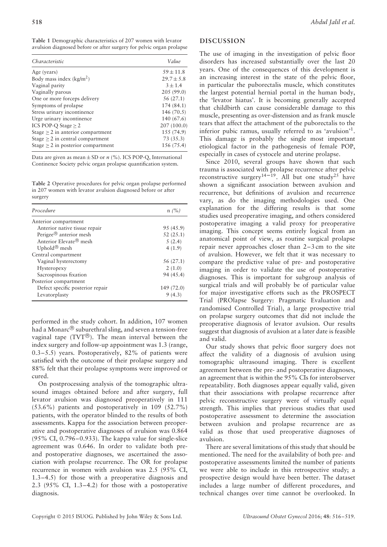**Table 1** Demographic characteristics of 207 women with levator avulsion diagnosed before or after surgery for pelvic organ prolapse

| Characteristic                          | Value          |
|-----------------------------------------|----------------|
| Age (years)                             | $.59 \pm 11.8$ |
| Body mass index $(kg/m2)$               | $29.7 \pm 5.8$ |
| Vaginal parity                          | $3 \pm 1.4$    |
| Vaginally parous                        | 205(99.0)      |
| One or more forceps delivery            | 56(27.1)       |
| Symptoms of prolapse                    | 174(84.1)      |
| Stress urinary incontinence             | 146 (70.5)     |
| Urge urinary incontinence               | 140 (67.6)     |
| ICS POP-O Stage $> 2$                   | 207(100.0)     |
| Stage $\geq$ 2 in anterior compartment  | 155 (74.9)     |
| Stage $\geq$ 2 in central compartment   | 73(35.3)       |
| Stage $\geq$ 2 in posterior compartment | 156 (75.4)     |

Data are given as mean  $\pm$  SD or *n* (%). ICS POP-Q, International Continence Society pelvic organ prolapse quantification system.

**Table 2** Operative procedures for pelvic organ prolapse performed in 207 women with levator avulsion diagnosed before or after surgery

| Procedure                          | n/(%)      |
|------------------------------------|------------|
| Anterior compartment               |            |
| Anterior native tissue repair      | 95 (45.9)  |
| Perigee® anterior mesh             | 52(25.1)   |
| Anterior Elevate <sup>®</sup> mesh | 5(2.4)     |
| Uphold <sup>®</sup> mesh           | 4(1.9)     |
| Central compartment                |            |
| Vaginal hysterectomy               | 56 (27.1)  |
| Hysteropexy                        | 2(1.0)     |
| Sacrospinous fixation              | 94 (45.4)  |
| Posterior compartment              |            |
| Defect specific posterior repair   | 149 (72.0) |
| Levatorplasty                      | 9(4.3)     |

performed in the study cohort. In addition, 107 women had a Monarc® suburethral sling, and seven a tension-free vaginal tape (TVT®). The mean interval between the index surgery and follow-up appointment was 1.3 (range, 0.3–5.5) years. Postoperatively, 82% of patients were satisfied with the outcome of their prolapse surgery and 88% felt that their prolapse symptoms were improved or cured.

On postprocessing analysis of the tomographic ultrasound images obtained before and after surgery, full levator avulsion was diagnosed preoperatively in 111 (53.6%) patients and postoperatively in 109 (52.7%) patients, with the operator blinded to the results of both assessments. Kappa for the association between preoperative and postoperative diagnoses of avulsion was 0.864 (95% CI, 0.796–0.933). The kappa value for single-slice agreement was 0.646. In order to validate both preand postoperative diagnoses, we ascertained the association with prolapse recurrence. The OR for prolapse recurrence in women with avulsion was 2.5 (95% CI, 1.3–4.5) for those with a preoperative diagnosis and 2.3 (95% CI, 1.3–4.2) for those with a postoperative diagnosis.

#### **DISCUSSION**

The use of imaging in the investigation of pelvic floor disorders has increased substantially over the last 20 years. One of the consequences of this development is an increasing interest in the state of the pelvic floor, in particular the puborectalis muscle, which constitutes the largest potential hernial portal in the human body, the 'levator hiatus'. It is becoming generally accepted that childbirth can cause considerable damage to this muscle, presenting as over-distension and as frank muscle tears that affect the attachment of the puborectalis to the inferior pubic ramus, usually referred to as 'avulsion'1. This damage is probably the single most important etiological factor in the pathogenesis of female POP, especially in cases of cystocele and uterine prolapse.

Since 2010, several groups have shown that such trauma is associated with prolapse recurrence after pelvic reconstructive surgery<sup>14–19</sup>. All but one study<sup>25</sup> have shown a significant association between avulsion and recurrence, but definitions of avulsion and recurrence vary, as do the imaging methodologies used. One explanation for the differing results is that some studies used preoperative imaging, and others considered postoperative imaging a valid proxy for preoperative imaging. This concept seems entirely logical from an anatomical point of view, as routine surgical prolapse repair never approaches closer than 2–3 cm to the site of avulsion. However, we felt that it was necessary to compare the predictive value of pre- and postoperative imaging in order to validate the use of postoperative diagnoses. This is important for subgroup analysis of surgical trials and will probably be of particular value for major investigative efforts such as the PROSPECT Trial (PROlapse Surgery: Pragmatic Evaluation and randomised Controlled Trial), a large prospective trial on prolapse surgery outcomes that did not include the preoperative diagnosis of levator avulsion. Our results suggest that diagnosis of avulsion at a later date is feasible and valid.

Our study shows that pelvic floor surgery does not affect the validity of a diagnosis of avulsion using tomographic ultrasound imaging. There is excellent agreement between the pre- and postoperative diagnoses, an agreement that is within the 95% CIs for interobserver repeatability. Both diagnoses appear equally valid, given that their associations with prolapse recurrence after pelvic reconstructive surgery were of virtually equal strength. This implies that previous studies that used postoperative assessment to determine the association between avulsion and prolapse recurrence are as valid as those that used preoperative diagnoses of avulsion.

There are several limitations of this study that should be mentioned. The need for the availability of both pre- and postoperative assessments limited the number of patients we were able to include in this retrospective study; a prospective design would have been better. The dataset includes a large number of different procedures, and technical changes over time cannot be overlooked. In